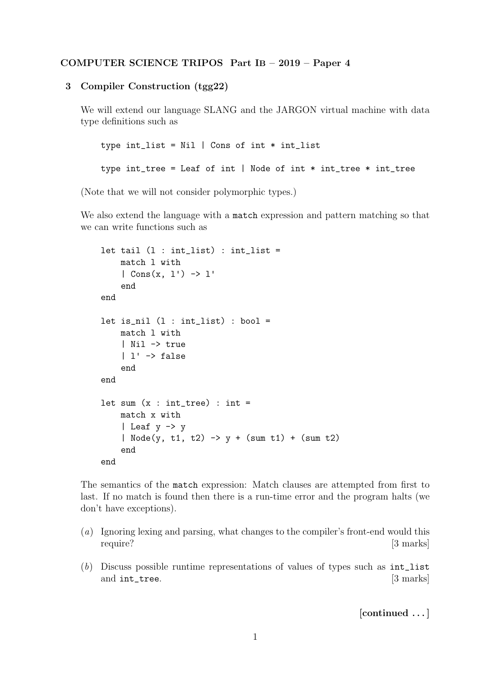## COMPUTER SCIENCE TRIPOS Part IB – 2019 – Paper 4

## 3 Compiler Construction (tgg22)

We will extend our language SLANG and the JARGON virtual machine with data type definitions such as

```
type int\_list = Nil | Cons of int * int\_listtype int\_tree = Leaf of int \mid Node of int * int\_tree * int\_tree
```
(Note that we will not consider polymorphic types.)

We also extend the language with a match expression and pattern matching so that we can write functions such as

```
let tail (1 : int\_list) : int\_list =match l with
    | Cons(x, 1') \rightarrow 1'end
end
let is_nil (1 : int\_list) : bool =match l with
    | Nil -> true
    | l' \rightarrow falseend
end
let sum (x : int\_tree) : int =match x with
    | Leaf y -> y
    | Node(y, t1, t2) \rightarrow y + (sum t1) + (sum t2)
    end
end
```
The semantics of the match expression: Match clauses are attempted from first to last. If no match is found then there is a run-time error and the program halts (we don't have exceptions).

- (a) Ignoring lexing and parsing, what changes to the compiler's front-end would this require? [3 marks]
- (b) Discuss possible runtime representations of values of types such as int\_list and int\_tree. [3 marks]

[continued . . . ]